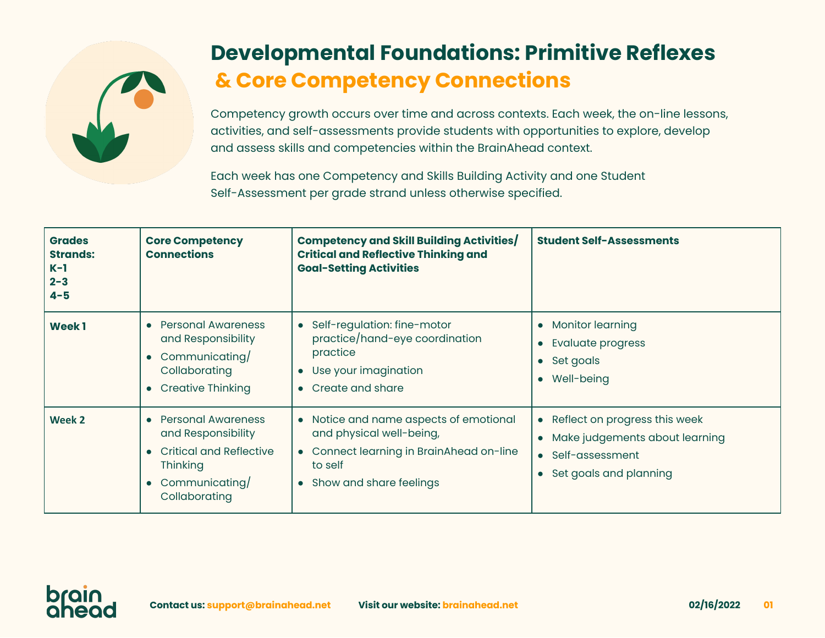

## **Developmental Foundations: Primitive Reflexes & Core Competency Connections**

Competency growth occurs over time and across contexts. Each week, the on-line lessons, activities, and self-assessments provide students with opportunities to explore, develop and assess skills and competencies within the BrainAhead context.

Each week has one Competency and Skills Building Activity and one Student Self-Assessment per grade strand unless otherwise specified.

| <b>Grades</b><br><b>Strands:</b><br>$K-1$<br>$2 - 3$<br>$4 - 5$ | <b>Core Competency</b><br><b>Connections</b>                                                                                       | Competency and Skill Building Activities/<br><b>Critical and Reflective Thinking and</b><br><b>Goal-Setting Activities</b>                                      | <b>Student Self-Assessments</b>                                                                                                            |
|-----------------------------------------------------------------|------------------------------------------------------------------------------------------------------------------------------------|-----------------------------------------------------------------------------------------------------------------------------------------------------------------|--------------------------------------------------------------------------------------------------------------------------------------------|
| <b>Week1</b>                                                    | <b>Personal Awareness</b><br>and Responsibility<br>• Communicating/<br>Collaborating<br>• Creative Thinking                        | Self-regulation: fine-motor<br>$\bullet$<br>practice/hand-eye coordination<br>practice<br>Use your imagination<br>Create and share<br>$\bullet$                 | <b>Monitor learning</b><br>$\bullet$<br><b>Evaluate progress</b><br>• Set goals<br>Well-being<br>$\bullet$                                 |
| Week 2                                                          | <b>Personal Awareness</b><br>and Responsibility<br><b>Critical and Reflective</b><br>Thinking<br>• Communicating/<br>Collaborating | Notice and name aspects of emotional<br>$\bullet$<br>and physical well-being,<br>Connect learning in BrainAhead on-line<br>to self<br>• Show and share feelings | • Reflect on progress this week<br>Make judgements about learning<br>$\bullet$<br>Self-assessment<br>$\bullet$<br>• Set goals and planning |

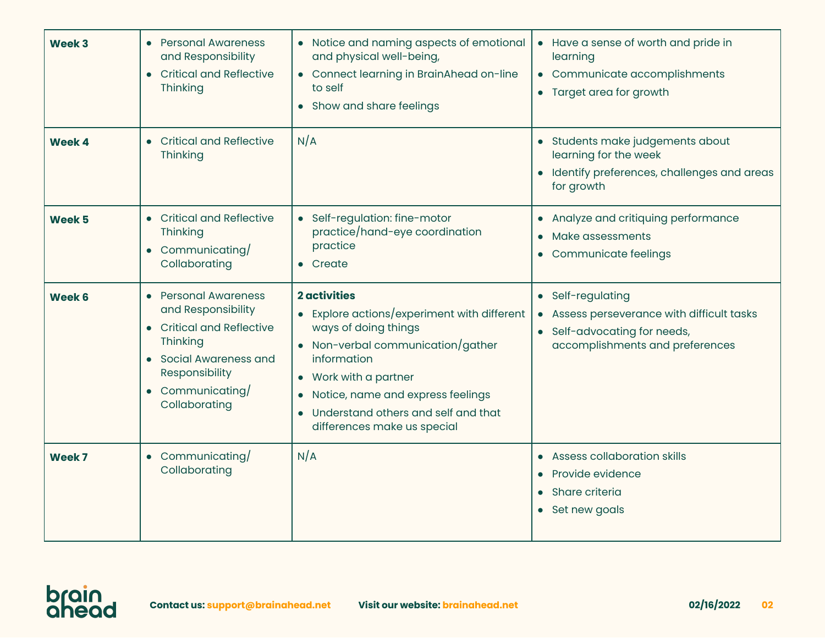| Week 3        | <b>Personal Awareness</b><br>and Responsibility<br><b>Critical and Reflective</b><br>$\bullet$<br>Thinking                                                                                           | • Notice and naming aspects of emotional<br>and physical well-being,<br>• Connect learning in BrainAhead on-line<br>to self<br>Show and share feelings                                                                                                                                                     | • Have a sense of worth and pride in<br>learning<br>• Communicate accomplishments<br>• Target area for growth                    |
|---------------|------------------------------------------------------------------------------------------------------------------------------------------------------------------------------------------------------|------------------------------------------------------------------------------------------------------------------------------------------------------------------------------------------------------------------------------------------------------------------------------------------------------------|----------------------------------------------------------------------------------------------------------------------------------|
| <b>Week 4</b> | <b>Critical and Reflective</b><br>Thinking                                                                                                                                                           | N/A                                                                                                                                                                                                                                                                                                        | • Students make judgements about<br>learning for the week<br>· Identify preferences, challenges and areas<br>for growth          |
| Week 5        | • Critical and Reflective<br>Thinking<br>Communicating/<br>$\bullet$<br>Collaborating                                                                                                                | • Self-regulation: fine-motor<br>practice/hand-eye coordination<br>practice<br>Create<br>$\bullet$                                                                                                                                                                                                         | • Analyze and critiquing performance<br>Make assessments<br>$\bullet$<br>• Communicate feelings                                  |
| Week 6        | <b>Personal Awareness</b><br>$\bullet$<br>and Responsibility<br><b>Critical and Reflective</b><br>$\bullet$<br>Thinking<br>Social Awareness and<br>Responsibility<br>Communicating/<br>Collaborating | <b>2</b> activities<br>• Explore actions/experiment with different<br>ways of doing things<br>• Non-verbal communication/gather<br>information<br>Work with a partner<br>$\bullet$<br>Notice, name and express feelings<br>$\bullet$<br>Understand others and self and that<br>differences make us special | • Self-regulating<br>Assess perseverance with difficult tasks<br>• Self-advocating for needs,<br>accomplishments and preferences |
| Week 7        | • Communicating/<br>Collaborating                                                                                                                                                                    | N/A                                                                                                                                                                                                                                                                                                        | • Assess collaboration skills<br><b>Provide evidence</b><br>Share criteria<br>$\bullet$<br>• Set new goals                       |

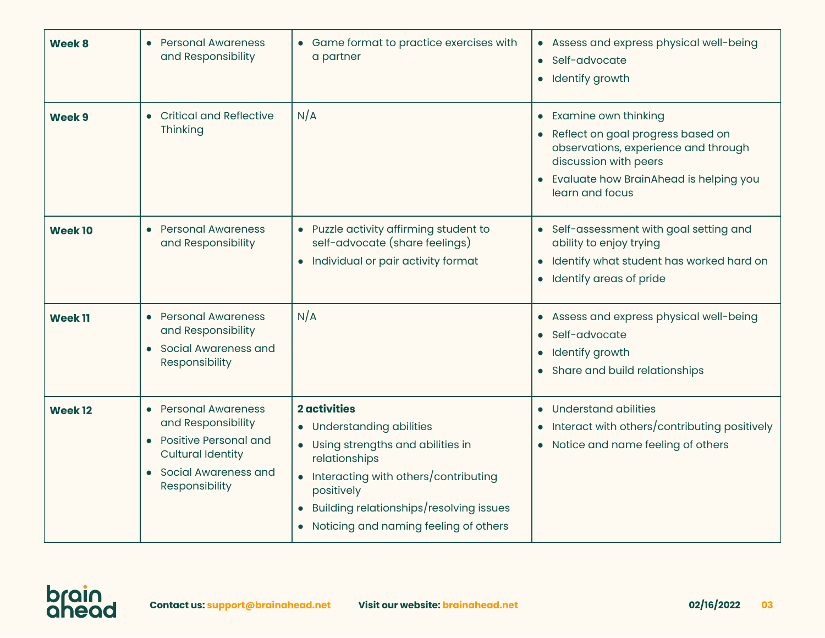| Week 8             | <b>Personal Awareness</b><br>and Responsibility                                                                                                    | • Game format to practice exercises with<br>a partner                                                                                                                                                                                                                                           | Assess and express physical well-being<br>$\bullet$<br>Self-advocate<br>$\bullet$<br>Identify growth<br>$\bullet$                                                                                    |
|--------------------|----------------------------------------------------------------------------------------------------------------------------------------------------|-------------------------------------------------------------------------------------------------------------------------------------------------------------------------------------------------------------------------------------------------------------------------------------------------|------------------------------------------------------------------------------------------------------------------------------------------------------------------------------------------------------|
| Week 9             | • Critical and Reflective<br>Thinking                                                                                                              | N/A                                                                                                                                                                                                                                                                                             | Examine own thinking<br>$\bullet$<br>Reflect on goal progress based on<br>observations, experience and through<br>discussion with peers<br>Evaluate how BrainAhead is helping you<br>learn and focus |
| <b>Week10</b>      | • Personal Awareness<br>and Responsibility                                                                                                         | • Puzzle activity affirming student to<br>self-advocate (share feelings)<br>• Individual or pair activity format                                                                                                                                                                                | Self-assessment with goal setting and<br>$\bullet$<br>ability to enjoy trying<br>Identify what student has worked hard on<br>$\bullet$<br>Identify areas of pride<br>$\bullet$                       |
| <b>Week 11</b>     | • Personal Awareness<br>and Responsibility<br>• Social Awareness and<br>Responsibility                                                             | N/A                                                                                                                                                                                                                                                                                             | Assess and express physical well-being<br>$\bullet$<br>Self-advocate<br>$\bullet$<br>Identify growth<br>$\bullet$<br>Share and build relationships                                                   |
| Week <sub>12</sub> | • Personal Awareness<br>and Responsibility<br><b>Positive Personal and</b><br><b>Cultural Identity</b><br>• Social Awareness and<br>Responsibility | <b>2</b> activities<br><b>Understanding abilities</b><br>$\bullet$<br>• Using strengths and abilities in<br>relationships<br>Interacting with others/contributing<br>$\bullet$<br>positively<br>Building relationships/resolving issues<br>$\bullet$<br>• Noticing and naming feeling of others | Understand abilities<br>$\bullet$<br>Interact with others/contributing positively<br>$\bullet$<br>Notice and name feeling of others<br>$\bullet$                                                     |